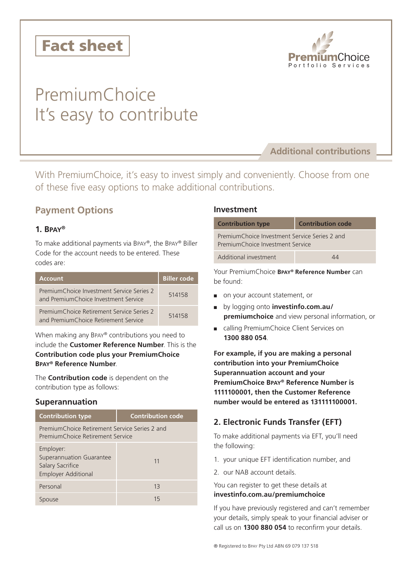



# PremiumChoice It's easy to contribute

# **Additional contributions**

With PremiumChoice, it's easy to invest simply and conveniently. Choose from one of these five easy options to make additional contributions.

# **Payment Options**

# **1. Bpay®**

To make additional payments via Bpay®, the Bpay® Biller Code for the account needs to be entered. These codes are:

| <b>Account</b>                                                                    | <b>Biller code</b> |
|-----------------------------------------------------------------------------------|--------------------|
| PremiumChoice Investment Service Series 2<br>and PremiumChoice Investment Service | 514158             |
| PremiumChoice Retirement Service Series 2<br>and PremiumChoice Retirement Service | 514158             |

When making any Bpay® contributions you need to include the **Customer Reference Number**. This is the **Contribution code plus your PremiumChoice Bpay® Reference Number**.

The **Contribution code** is dependent on the contribution type as follows:

# **Superannuation**

| <b>Contribution type</b>                                                                | <b>Contribution code</b> |  |
|-----------------------------------------------------------------------------------------|--------------------------|--|
| PremiumChoice Retirement Service Series 2 and<br>PremiumChoice Retirement Service       |                          |  |
| Employer:<br>Superannuation Guarantee<br>Salary Sacrifice<br><b>Employer Additional</b> | 11                       |  |
| Personal                                                                                | 13                       |  |
| use                                                                                     | 15                       |  |

## **Investment**

| <b>Contribution type</b>                                                          | <b>Contribution code</b> |  |
|-----------------------------------------------------------------------------------|--------------------------|--|
| PremiumChoice Investment Service Series 2 and<br>PremiumChoice Investment Service |                          |  |
| Additional investment                                                             | ΔΔ                       |  |

Your PremiumChoice **Bpay® Reference Number** can be found:

- on your account statement, or
- by logging onto **investinfo.com.au/ premiumchoice** and view personal information, or
- calling PremiumChoice Client Services on **1300 880 054**.

**For example, if you are making a personal contribution into your PremiumChoice Superannuation account and your PremiumChoice Bpay® Reference Number is 1111100001, then the Customer Reference number would be entered as 131111100001.**

# **2. Electronic Funds Transfer (EFT)**

To make additional payments via EFT, you'll need the following:

- 1. your unique EFT identification number, and
- 2. our NAB account details.

You can register to get these details at

#### **investinfo.com.au/premiumchoice**

If you have previously registered and can't remember your details, simply speak to your financial adviser or call us on **1300 880 054** to reconfirm your details.